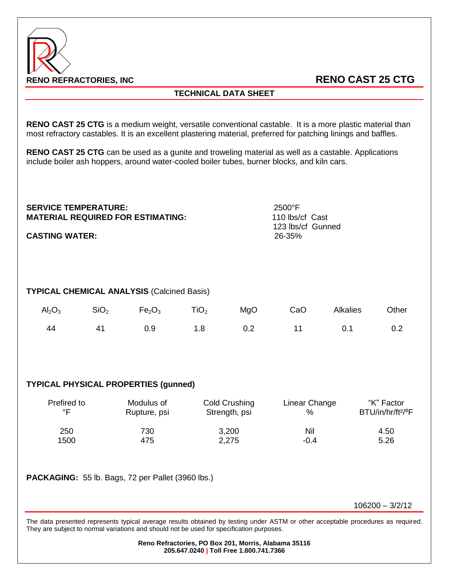

## **TECHNICAL DATA SHEET**

**RENO CAST 25 CTG** is a medium weight, versatile conventional castable. It is a more plastic material than most refractory castables. It is an excellent plastering material, preferred for patching linings and baffles.

**RENO CAST 25 CTG** can be used as a gunite and troweling material as well as a castable. Applications include boiler ash hoppers, around water-cooled boiler tubes, burner blocks, and kiln cars.

| <b>SERVICE TEMPERATURE:</b><br><b>CASTING WATER:</b> |                  | <b>MATERIAL REQUIRED FOR ESTIMATING:</b> |                  |     | 2500°F<br>110 lbs/cf Cast<br>123 lbs/cf Gunned<br>26-35% |                 |       |  |  |  |  |
|------------------------------------------------------|------------------|------------------------------------------|------------------|-----|----------------------------------------------------------|-----------------|-------|--|--|--|--|
| <b>TYPICAL CHEMICAL ANALYSIS (Calcined Basis)</b>    |                  |                                          |                  |     |                                                          |                 |       |  |  |  |  |
| $\text{Al}_2\text{O}_3$                              | SiO <sub>2</sub> | Fe <sub>2</sub> O <sub>3</sub>           | TiO <sub>2</sub> | MgO | CaO                                                      | <b>Alkalies</b> | Other |  |  |  |  |
| 44                                                   | 41               | 0.9                                      | 1.8              | 0.2 | 11                                                       | 0.1             | 0.2   |  |  |  |  |
|                                                      |                  |                                          |                  |     |                                                          |                 |       |  |  |  |  |

## **TYPICAL PHYSICAL PROPERTIES (gunned)**

| Prefired to | Modulus of   | Cold Crushing | Linear Change | "K" Factor                    |
|-------------|--------------|---------------|---------------|-------------------------------|
| ∘⊏          | Rupture, psi | Strength, psi | %             | BTU/in/hr/ft <sup>2/o</sup> F |
| 250         | 730          | 3,200         | Nil           | 4.50                          |
| 1500        | 475          | 2,275         | $-0.4$        | 5.26                          |

**PACKAGING:** 55 lb. Bags, 72 per Pallet (3960 lbs.)

106200 – 3/2/12

The data presented represents typical average results obtained by testing under ASTM or other acceptable procedures as required. They are subject to normal variations and should not be used for specification purposes.

> **Reno Refractories, PO Box 201, Morris, Alabama 35116 205.647.0240 | Toll Free 1.800.741.7366**